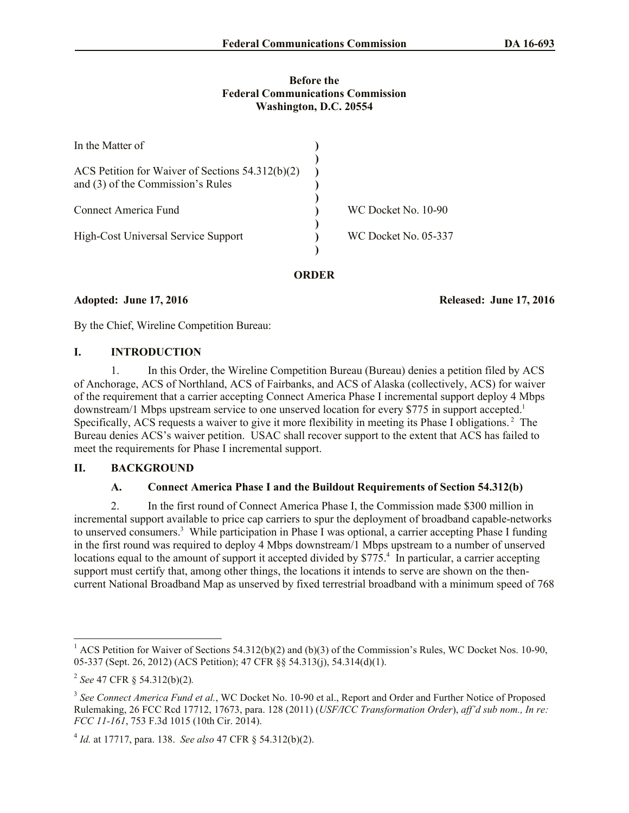## **Before the Federal Communications Commission Washington, D.C. 20554**

| WC Docket No. 10-90  |
|----------------------|
| WC Docket No. 05-337 |
|                      |

**ORDER**

**Adopted: June 17, 2016 Released: June 17, 2016**

By the Chief, Wireline Competition Bureau:

## **I. INTRODUCTION**

1. In this Order, the Wireline Competition Bureau (Bureau) denies a petition filed by ACS of Anchorage, ACS of Northland, ACS of Fairbanks, and ACS of Alaska (collectively, ACS) for waiver of the requirement that a carrier accepting Connect America Phase I incremental support deploy 4 Mbps downstream/1 Mbps upstream service to one unserved location for every \$775 in support accepted.<sup>1</sup> Specifically, ACS requests a waiver to give it more flexibility in meeting its Phase I obligations.<sup>2</sup> The Bureau denies ACS's waiver petition. USAC shall recover support to the extent that ACS has failed to meet the requirements for Phase I incremental support.

# **II. BACKGROUND**

# **A. Connect America Phase I and the Buildout Requirements of Section 54.312(b)**

2. In the first round of Connect America Phase I, the Commission made \$300 million in incremental support available to price cap carriers to spur the deployment of broadband capable-networks to unserved consumers.<sup>3</sup> While participation in Phase I was optional, a carrier accepting Phase I funding in the first round was required to deploy 4 Mbps downstream/1 Mbps upstream to a number of unserved locations equal to the amount of support it accepted divided by \$775.<sup>4</sup> In particular, a carrier accepting support must certify that, among other things, the locations it intends to serve are shown on the thencurrent National Broadband Map as unserved by fixed terrestrial broadband with a minimum speed of 768

l  $1$  ACS Petition for Waiver of Sections 54.312(b)(2) and (b)(3) of the Commission's Rules, WC Docket Nos. 10-90, 05-337 (Sept. 26, 2012) (ACS Petition); 47 CFR §§ 54.313(j), 54.314(d)(1).

<sup>2</sup> *See* 47 CFR § 54.312(b)(2)*.*

<sup>&</sup>lt;sup>3</sup> See Connect America Fund et al., WC Docket No. 10-90 et al., Report and Order and Further Notice of Proposed Rulemaking, 26 FCC Rcd 17712, 17673, para. 128 (2011) (*USF/ICC Transformation Order*), *aff'd sub nom., In re: FCC 11-161*, 753 F.3d 1015 (10th Cir. 2014).

<sup>4</sup> *Id.* at 17717, para. 138. *See also* 47 CFR § 54.312(b)(2).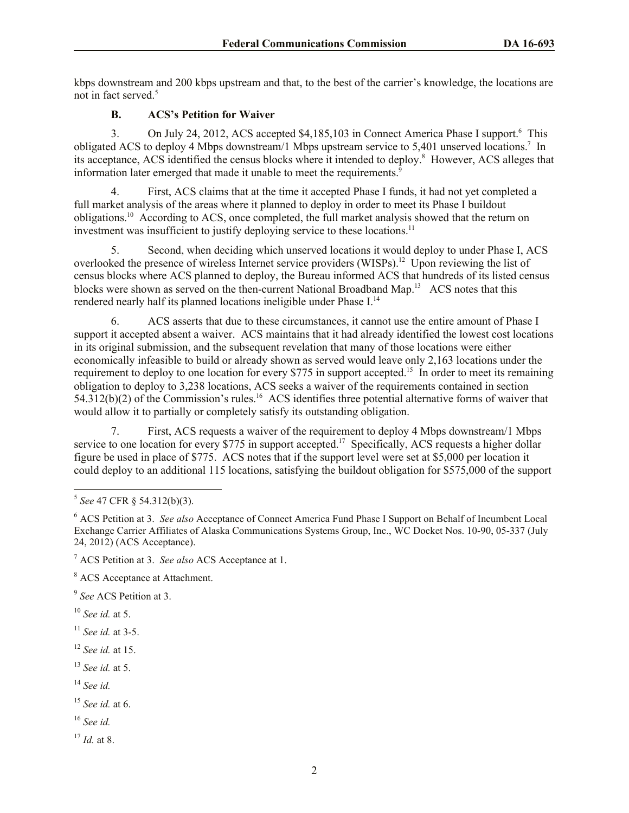kbps downstream and 200 kbps upstream and that, to the best of the carrier's knowledge, the locations are not in fact served.<sup>5</sup>

## **B. ACS's Petition for Waiver**

3. On July 24, 2012, ACS accepted \$4,185,103 in Connect America Phase I support.<sup>6</sup> This obligated ACS to deploy 4 Mbps downstream/1 Mbps upstream service to 5,401 unserved locations.<sup>7</sup> In its acceptance, ACS identified the census blocks where it intended to deploy.<sup>8</sup> However, ACS alleges that information later emerged that made it unable to meet the requirements.<sup> $\hat{9}$ </sup>

4. First, ACS claims that at the time it accepted Phase I funds, it had not yet completed a full market analysis of the areas where it planned to deploy in order to meet its Phase I buildout obligations.<sup>10</sup> According to ACS, once completed, the full market analysis showed that the return on investment was insufficient to justify deploying service to these locations.<sup>11</sup>

5. Second, when deciding which unserved locations it would deploy to under Phase I, ACS overlooked the presence of wireless Internet service providers (WISPs).<sup>12</sup> Upon reviewing the list of census blocks where ACS planned to deploy, the Bureau informed ACS that hundreds of its listed census blocks were shown as served on the then-current National Broadband Map.<sup>13</sup> ACS notes that this rendered nearly half its planned locations ineligible under Phase I.<sup>14</sup>

6. ACS asserts that due to these circumstances, it cannot use the entire amount of Phase I support it accepted absent a waiver. ACS maintains that it had already identified the lowest cost locations in its original submission, and the subsequent revelation that many of those locations were either economically infeasible to build or already shown as served would leave only 2,163 locations under the requirement to deploy to one location for every \$775 in support accepted.<sup>15</sup> In order to meet its remaining obligation to deploy to 3,238 locations, ACS seeks a waiver of the requirements contained in section  $54.312(b)(2)$  of the Commission's rules.<sup>16</sup> ACS identifies three potential alternative forms of waiver that would allow it to partially or completely satisfy its outstanding obligation.

7. First, ACS requests a waiver of the requirement to deploy 4 Mbps downstream/1 Mbps service to one location for every \$775 in support accepted.<sup>17</sup> Specifically, ACS requests a higher dollar figure be used in place of \$775. ACS notes that if the support level were set at \$5,000 per location it could deploy to an additional 115 locations, satisfying the buildout obligation for \$575,000 of the support

<sup>10</sup> *See id.* at 5.

- <sup>13</sup> *See id.* at 5.
- <sup>14</sup> *See id.*

<sup>17</sup> *Id.* at 8.

 5 *See* 47 CFR § 54.312(b)(3).

<sup>6</sup> ACS Petition at 3. *See also* Acceptance of Connect America Fund Phase I Support on Behalf of Incumbent Local Exchange Carrier Affiliates of Alaska Communications Systems Group, Inc., WC Docket Nos. 10-90, 05-337 (July 24, 2012) (ACS Acceptance).

<sup>7</sup> ACS Petition at 3. *See also* ACS Acceptance at 1.

<sup>8</sup> ACS Acceptance at Attachment.

<sup>9</sup> *See* ACS Petition at 3.

<sup>11</sup> *See id.* at 3-5.

<sup>12</sup> *See id.* at 15.

<sup>15</sup> *See id.* at 6.

<sup>16</sup> *See id.*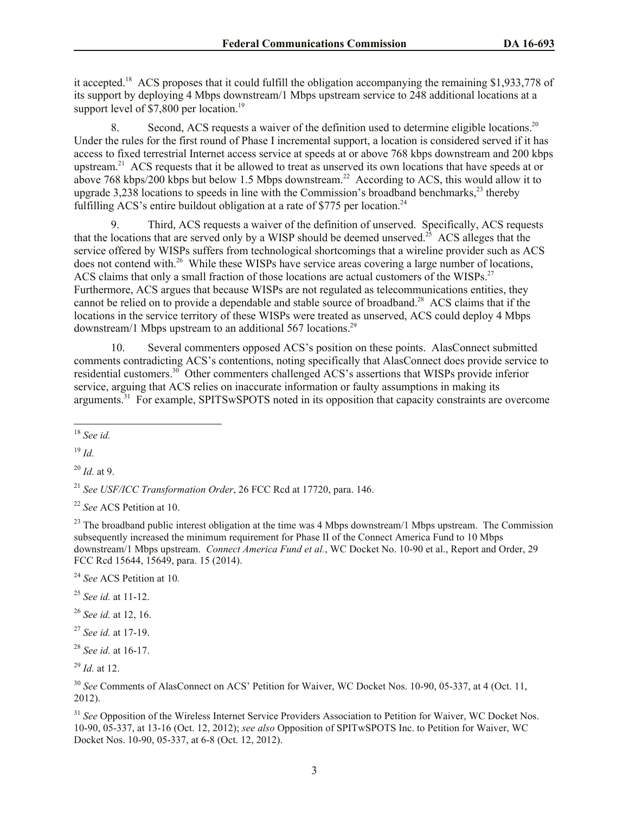it accepted.<sup>18</sup> ACS proposes that it could fulfill the obligation accompanying the remaining \$1,933,778 of its support by deploying 4 Mbps downstream/1 Mbps upstream service to 248 additional locations at a support level of  $$7,800$  per location.<sup>19</sup>

8. Second, ACS requests a waiver of the definition used to determine eligible locations.<sup>20</sup> Under the rules for the first round of Phase I incremental support, a location is considered served if it has access to fixed terrestrial Internet access service at speeds at or above 768 kbps downstream and 200 kbps upstream.<sup>21</sup> ACS requests that it be allowed to treat as unserved its own locations that have speeds at or above 768 kbps/200 kbps but below 1.5 Mbps downstream.<sup>22</sup> According to ACS, this would allow it to upgrade  $3,238$  locations to speeds in line with the Commission's broadband benchmarks,<sup>23</sup> thereby fulfilling ACS's entire buildout obligation at a rate of \$775 per location.<sup>24</sup>

9. Third, ACS requests a waiver of the definition of unserved. Specifically, ACS requests that the locations that are served only by a WISP should be deemed unserved.<sup>25</sup> ACS alleges that the service offered by WISPs suffers from technological shortcomings that a wireline provider such as ACS does not contend with.<sup>26</sup> While these WISPs have service areas covering a large number of locations, ACS claims that only a small fraction of those locations are actual customers of the WISPs.<sup>27</sup> Furthermore, ACS argues that because WISPs are not regulated as telecommunications entities, they cannot be relied on to provide a dependable and stable source of broadband.<sup>28</sup> ACS claims that if the locations in the service territory of these WISPs were treated as unserved, ACS could deploy 4 Mbps downstream/1 Mbps upstream to an additional 567 locations.<sup>29</sup>

10. Several commenters opposed ACS's position on these points. AlasConnect submitted comments contradicting ACS's contentions, noting specifically that AlasConnect does provide service to residential customers.<sup>30</sup> Other commenters challenged ACS's assertions that WISPs provide inferior service, arguing that ACS relies on inaccurate information or faulty assumptions in making its arguments.<sup>31</sup> For example, SPITSwSPOTS noted in its opposition that capacity constraints are overcome

<sup>19</sup> *Id.*

<sup>20</sup> *Id.* at 9.

<sup>21</sup> *See USF/ICC Transformation Order*, 26 FCC Rcd at 17720, para. 146.

<sup>22</sup> *See* ACS Petition at 10.

 $^{23}$  The broadband public interest obligation at the time was 4 Mbps downstream/1 Mbps upstream. The Commission subsequently increased the minimum requirement for Phase II of the Connect America Fund to 10 Mbps downstream/1 Mbps upstream. *Connect America Fund et al.*, WC Docket No. 10-90 et al., Report and Order, 29 FCC Rcd 15644, 15649, para. 15 (2014).

<sup>24</sup> *See* ACS Petition at 10*.*

<sup>25</sup> *See id.* at 11-12.

<sup>26</sup> *See id.* at 12, 16.

<sup>27</sup> *See id.* at 17-19.

<sup>28</sup> *See id.* at 16-17.

<sup>29</sup> *Id.* at 12.

<sup>30</sup> See Comments of AlasConnect on ACS' Petition for Waiver, WC Docket Nos. 10-90, 05-337, at 4 (Oct. 11, 2012).

<sup>31</sup> See Opposition of the Wireless Internet Service Providers Association to Petition for Waiver, WC Docket Nos. 10-90, 05-337, at 13-16 (Oct. 12, 2012); *see also* Opposition of SPITwSPOTS Inc. to Petition for Waiver, WC Docket Nos. 10-90, 05-337, at 6-8 (Oct. 12, 2012).

l <sup>18</sup> *See id.*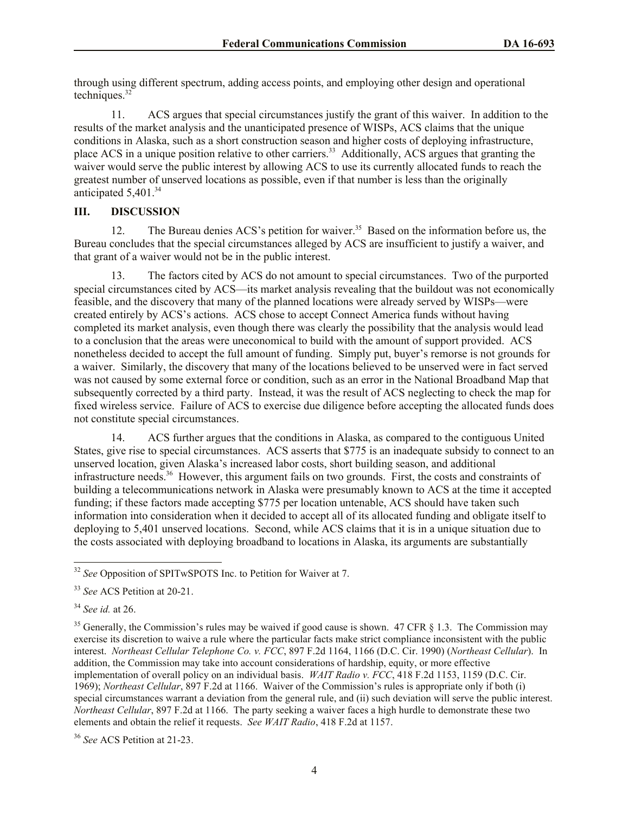through using different spectrum, adding access points, and employing other design and operational techniques. $32$ 

11. ACS argues that special circumstances justify the grant of this waiver. In addition to the results of the market analysis and the unanticipated presence of WISPs, ACS claims that the unique conditions in Alaska, such as a short construction season and higher costs of deploying infrastructure, place ACS in a unique position relative to other carriers.<sup>33</sup> Additionally, ACS argues that granting the waiver would serve the public interest by allowing ACS to use its currently allocated funds to reach the greatest number of unserved locations as possible, even if that number is less than the originally anticipated  $5,401.^{34}$ 

## **III. DISCUSSION**

12. The Bureau denies ACS's petition for waiver.<sup>35</sup> Based on the information before us, the Bureau concludes that the special circumstances alleged by ACS are insufficient to justify a waiver, and that grant of a waiver would not be in the public interest.

13. The factors cited by ACS do not amount to special circumstances. Two of the purported special circumstances cited by ACS—its market analysis revealing that the buildout was not economically feasible, and the discovery that many of the planned locations were already served by WISPs—were created entirely by ACS's actions. ACS chose to accept Connect America funds without having completed its market analysis, even though there was clearly the possibility that the analysis would lead to a conclusion that the areas were uneconomical to build with the amount of support provided. ACS nonetheless decided to accept the full amount of funding. Simply put, buyer's remorse is not grounds for a waiver. Similarly, the discovery that many of the locations believed to be unserved were in fact served was not caused by some external force or condition, such as an error in the National Broadband Map that subsequently corrected by a third party. Instead, it was the result of ACS neglecting to check the map for fixed wireless service. Failure of ACS to exercise due diligence before accepting the allocated funds does not constitute special circumstances.

14. ACS further argues that the conditions in Alaska, as compared to the contiguous United States, give rise to special circumstances. ACS asserts that \$775 is an inadequate subsidy to connect to an unserved location, given Alaska's increased labor costs, short building season, and additional infrastructure needs.<sup>36</sup> However, this argument fails on two grounds. First, the costs and constraints of building a telecommunications network in Alaska were presumably known to ACS at the time it accepted funding; if these factors made accepting \$775 per location untenable, ACS should have taken such information into consideration when it decided to accept all of its allocated funding and obligate itself to deploying to 5,401 unserved locations. Second, while ACS claims that it is in a unique situation due to the costs associated with deploying broadband to locations in Alaska, its arguments are substantially

<sup>34</sup> *See id.* at 26.

l

<sup>32</sup> *See* Opposition of SPITwSPOTS Inc. to Petition for Waiver at 7.

<sup>33</sup> *See* ACS Petition at 20-21.

 $35$  Generally, the Commission's rules may be waived if good cause is shown. 47 CFR  $\S$  1.3. The Commission may exercise its discretion to waive a rule where the particular facts make strict compliance inconsistent with the public interest. *Northeast Cellular Telephone Co. v. FCC*, 897 F.2d 1164, 1166 (D.C. Cir. 1990) (*Northeast Cellular*). In addition, the Commission may take into account considerations of hardship, equity, or more effective implementation of overall policy on an individual basis. *WAIT Radio v. FCC*, 418 F.2d 1153, 1159 (D.C. Cir. 1969); *Northeast Cellular*, 897 F.2d at 1166. Waiver of the Commission's rules is appropriate only if both (i) special circumstances warrant a deviation from the general rule, and (ii) such deviation will serve the public interest. *Northeast Cellular*, 897 F.2d at 1166. The party seeking a waiver faces a high hurdle to demonstrate these two elements and obtain the relief it requests. *See WAIT Radio*, 418 F.2d at 1157.

<sup>36</sup> *See* ACS Petition at 21-23.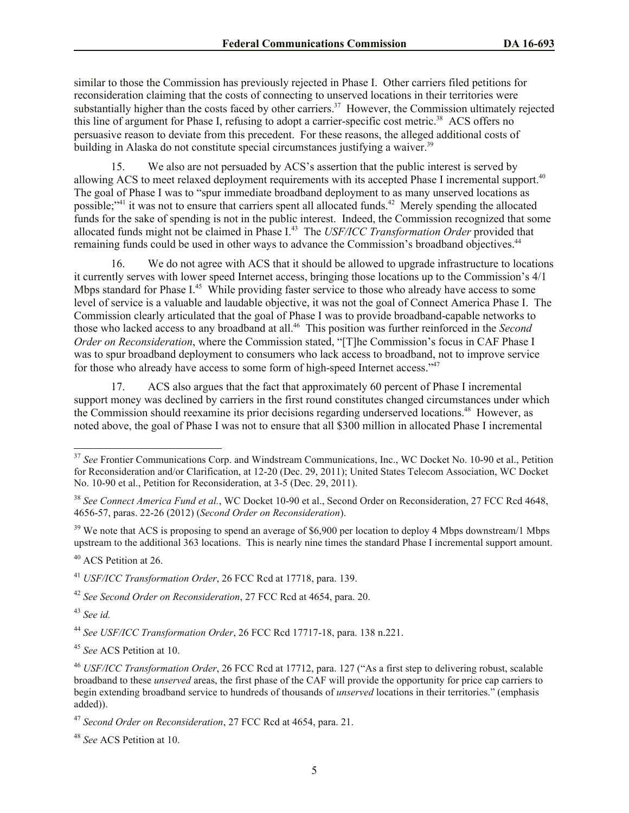similar to those the Commission has previously rejected in Phase I. Other carriers filed petitions for reconsideration claiming that the costs of connecting to unserved locations in their territories were substantially higher than the costs faced by other carriers.<sup>37</sup> However, the Commission ultimately rejected this line of argument for Phase I, refusing to adopt a carrier-specific cost metric.<sup>38</sup> ACS offers no persuasive reason to deviate from this precedent. For these reasons, the alleged additional costs of building in Alaska do not constitute special circumstances justifying a waiver.<sup>39</sup>

15. We also are not persuaded by ACS's assertion that the public interest is served by allowing ACS to meet relaxed deployment requirements with its accepted Phase I incremental support.<sup>40</sup> The goal of Phase I was to "spur immediate broadband deployment to as many unserved locations as possible;"<sup>41</sup> it was not to ensure that carriers spent all allocated funds.<sup>42</sup> Merely spending the allocated funds for the sake of spending is not in the public interest. Indeed, the Commission recognized that some allocated funds might not be claimed in Phase I.<sup>43</sup> The *USF/ICC Transformation Order* provided that remaining funds could be used in other ways to advance the Commission's broadband objectives.<sup>44</sup>

16. We do not agree with ACS that it should be allowed to upgrade infrastructure to locations it currently serves with lower speed Internet access, bringing those locations up to the Commission's 4/1 Mbps standard for Phase I.<sup>45</sup> While providing faster service to those who already have access to some level of service is a valuable and laudable objective, it was not the goal of Connect America Phase I. The Commission clearly articulated that the goal of Phase I was to provide broadband-capable networks to those who lacked access to any broadband at all.<sup>46</sup> This position was further reinforced in the *Second Order on Reconsideration*, where the Commission stated, "[T]he Commission's focus in CAF Phase I was to spur broadband deployment to consumers who lack access to broadband, not to improve service for those who already have access to some form of high-speed Internet access."<sup>47</sup>

17. ACS also argues that the fact that approximately 60 percent of Phase I incremental support money was declined by carriers in the first round constitutes changed circumstances under which the Commission should reexamine its prior decisions regarding underserved locations.<sup>48</sup> However, as noted above, the goal of Phase I was not to ensure that all \$300 million in allocated Phase I incremental

<sup>39</sup> We note that ACS is proposing to spend an average of \$6,900 per location to deploy 4 Mbps downstream/1 Mbps upstream to the additional 363 locations. This is nearly nine times the standard Phase I incremental support amount.

<sup>40</sup> ACS Petition at 26.

<sup>43</sup> *See id.*

l

<sup>44</sup> *See USF/ICC Transformation Order*, 26 FCC Rcd 17717-18, para. 138 n.221.

<sup>45</sup> *See* ACS Petition at 10.

<sup>&</sup>lt;sup>37</sup> See Frontier Communications Corp. and Windstream Communications, Inc., WC Docket No. 10-90 et al., Petition for Reconsideration and/or Clarification, at 12-20 (Dec. 29, 2011); United States Telecom Association, WC Docket No. 10-90 et al., Petition for Reconsideration, at 3-5 (Dec. 29, 2011).

<sup>&</sup>lt;sup>38</sup> See Connect America Fund et al., WC Docket 10-90 et al., Second Order on Reconsideration, 27 FCC Rcd 4648, 4656-57, paras. 22-26 (2012) (*Second Order on Reconsideration*).

<sup>41</sup> *USF/ICC Transformation Order*, 26 FCC Rcd at 17718, para. 139.

<sup>42</sup> *See Second Order on Reconsideration*, 27 FCC Rcd at 4654, para. 20.

<sup>46</sup> *USF/ICC Transformation Order*, 26 FCC Rcd at 17712, para. 127 ("As a first step to delivering robust, scalable broadband to these *unserved* areas, the first phase of the CAF will provide the opportunity for price cap carriers to begin extending broadband service to hundreds of thousands of *unserved* locations in their territories." (emphasis added)).

<sup>47</sup> *Second Order on Reconsideration*, 27 FCC Rcd at 4654, para. 21.

<sup>48</sup> *See* ACS Petition at 10.